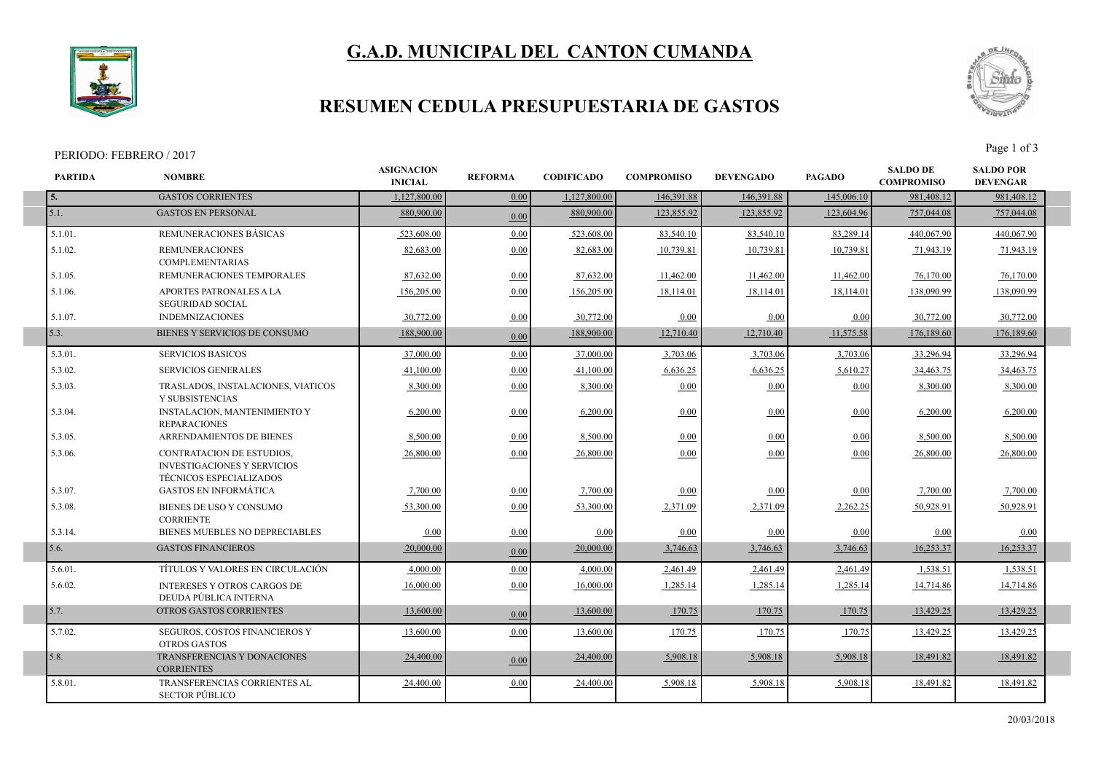# **G.A.D. MUNICIPAL DEL CANTON CUMANDA**



### **RESUMEN CEDULA PRESUPUESTARIA DE GASTOS**

#### PERIODO: FEBRERO / 2017<br>Page 1 of 3



| <b>PARTIDA</b> | <b>NOMBRE</b>                                                                                     | <b>ASIGNACION</b><br><b>INICIAL</b> | <b>REFORMA</b> | <b>CODIFICADO</b> | <b>COMPROMISO</b> | <b>DEVENGADO</b> | <b>PAGADO</b> | <b>SALDO DE</b><br><b>COMPROMISO</b> | <b>SALDO POR</b><br><b>DEVENGAR</b> |  |
|----------------|---------------------------------------------------------------------------------------------------|-------------------------------------|----------------|-------------------|-------------------|------------------|---------------|--------------------------------------|-------------------------------------|--|
| 5.             | <b>GASTOS CORRIENTES</b>                                                                          | 1.127.800.00                        | 0.00           | 1,127,800.00      | 146,391.88        | 146,391.88       | 145,006.10    | 981,408.12                           | 981,408.12                          |  |
| 5.1.           | <b>GASTOS EN PERSONAL</b>                                                                         | 880,900,00                          | 0.00           | 880,900.00        | 123,855.92        | 123.855.92       | 123,604.96    | 757,044.08                           | 757,044.08                          |  |
| $5.1.01$ .     | REMUNERACIONES BÁSICAS                                                                            | 523,608.00                          | 0.00           | 523,608.00        | 83,540.10         | 83,540.10        | 83,289.14     | 440,067.90                           | 440,067.90                          |  |
| $5.1.02$ .     | <b>REMUNERACIONES</b><br><b>COMPLEMENTARIAS</b>                                                   | 82.683.00                           | 0.00           | 82,683.00         | 10.739.81         | 10,739.81        | 10,739.81     | 71,943.19                            | 71,943.19                           |  |
| 5.1.05.        | REMUNERACIONES TEMPORALES                                                                         | 87,632.00                           | 0.00           | 87,632.00         | 11,462.00         | 11,462.00        | 11,462.00     | 76,170.00                            | 76,170.00                           |  |
| 5.1.06.        | APORTES PATRONALES A LA<br><b>SEGURIDAD SOCIAL</b>                                                | 156,205.00                          | 0.00           | 156,205.00        | 18,114.01         | 18,114.01        | 18,114.01     | 138,090.99                           | 138,090.99                          |  |
| 5.1.07.        | <b>INDEMNIZACIONES</b>                                                                            | 30.772.00                           | 0.00           | 30,772.00         | 0.00              | 0.00             | 0.00          | 30,772.00                            | 30,772.00                           |  |
| 5.3.           | BIENES Y SERVICIOS DE CONSUMO                                                                     | 188,900.00                          | 0.00           | 188,900.00        | 12,710.40         | 12,710.40        | 11,575.58     | 176,189.60                           | 176,189.60                          |  |
| 5.3.01.        | <b>SERVICIOS BASICOS</b>                                                                          | 37,000.00                           | 0.00           | 37,000.00         | 3,703.06          | 3,703.06         | 3,703.06      | 33,296.94                            | 33,296.94                           |  |
| 5.3.02.        | <b>SERVICIOS GENERALES</b>                                                                        | 41,100.00                           | 0.00           | 41,100.00         | 6,636.25          | 6,636.25         | 5,610.27      | 34,463.75                            | 34,463.75                           |  |
| 5.3.03.        | TRASLADOS, INSTALACIONES, VIATICOS<br>Y SUBSISTENCIAS                                             | 8.300.00                            | 0.00           | 8,300.00          | 0.00              | 0.00             | 0.00          | 8,300.00                             | 8,300.00                            |  |
| 5.3.04.        | <b>INSTALACION, MANTENIMIENTO Y</b><br><b>REPARACIONES</b>                                        | 6,200.00                            | 0.00           | 6,200.00          | 0.00              | 0.00             | 0.00          | 6,200.00                             | 6,200.00                            |  |
| 5.3.05.        | ARRENDAMIENTOS DE BIENES                                                                          | 8,500.00                            | 0.00           | 8,500.00          | 0.00              | 0.00             | 0.00          | 8,500.00                             | 8,500.00                            |  |
| 5.3.06.        | CONTRATACION DE ESTUDIOS,<br><b>INVESTIGACIONES Y SERVICIOS</b><br><b>TÉCNICOS ESPECIALIZADOS</b> | 26,800.00                           | 0.00           | 26,800.00         | 0.00              | 0.00             | 0.00          | 26,800.00                            | 26,800.00                           |  |
| 5.3.07.        | <b>GASTOS EN INFORMÁTICA</b>                                                                      | 7,700.00                            | 0.00           | 7,700.00          | 0.00              | 0.00             | 0.00          | 7,700.00                             | 7,700.00                            |  |
| 5.3.08.        | BIENES DE USO Y CONSUMO<br><b>CORRIENTE</b>                                                       | 53,300.00                           | 0.00           | 53.300.00         | 2,371.09          | 2,371.09         | 2,262.25      | 50.928.91                            | 50,928.91                           |  |
| 5.3.14.        | BIENES MUEBLES NO DEPRECIABLES                                                                    | 0.00                                | 0.00           | 0.00              | 0.00              | 0.00             | 0.00          | 0.00                                 | 0.00                                |  |
| 5.6.           | <b>GASTOS FINANCIEROS</b>                                                                         | 20,000.00                           | 0.00           | 20,000.00         | 3,746.63          | 3,746.63         | 3,746.63      | 16,253.37                            | 16,253.37                           |  |
| 5.6.01.        | TÍTULOS Y VALORES EN CIRCULACIÓN                                                                  | 4.000.00                            | 0.00           | 4.000.00          | 2,461.49          | 2,461.49         | 2,461.49      | 1,538.51                             | 1,538.51                            |  |
| 5.6.02.        | <b>INTERESES Y OTROS CARGOS DE</b><br>DEUDA PÚBLICA INTERNA                                       | 16,000.00                           | 0.00           | 16,000.00         | 1,285.14          | 1,285.14         | 1,285.14      | 14,714.86                            | 14,714.86                           |  |
| 5.7.           | OTROS GASTOS CORRIENTES                                                                           | 13,600.00                           | 0.00           | 13,600.00         | 170.75            | 170.75           | 170.75        | 13,429.25                            | 13,429.25                           |  |
| 5.7.02.        | SEGUROS, COSTOS FINANCIEROS Y<br><b>OTROS GASTOS</b>                                              | 13.600.00                           | 0.00           | 13,600.00         | 170.75            | 170.75           | 170.75        | 13.429.25                            | 13.429.25                           |  |
| 5.8.           | TRANSFERENCIAS Y DONACIONES<br><b>CORRIENTES</b>                                                  | 24,400.00                           | 0.00           | 24,400.00         | 5,908.18          | 5,908.18         | 5,908.18      | 18,491.82                            | 18,491.82                           |  |
| 5.8.01.        | <b>TRANSFERENCIAS CORRIENTES AL</b><br><b>SECTOR PÚBLICO</b>                                      | 24,400.00                           | 0.00           | 24,400.00         | 5,908.18          | 5,908.18         | 5,908.18      | 18,491.82                            | 18,491.82                           |  |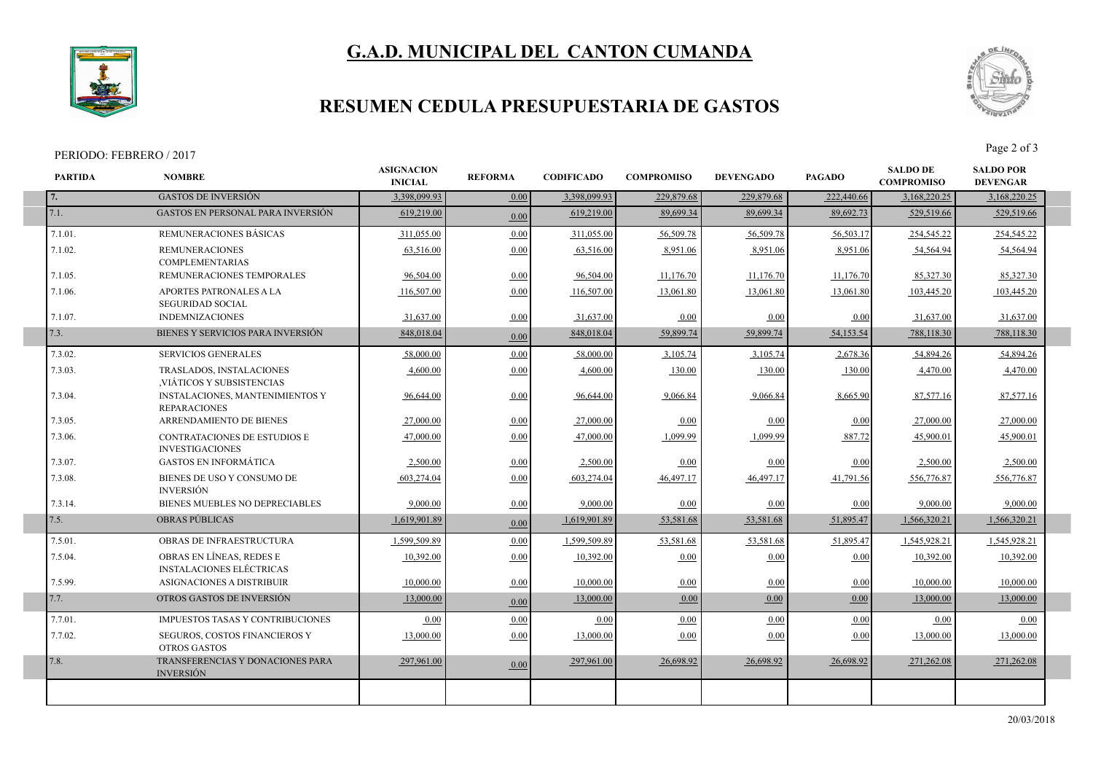# **G.A.D. MUNICIPAL DEL CANTON CUMANDA**



I

I

### **RESUMEN CEDULA PRESUPUESTARIA DE GASTOS**

#### PERIODO: FEBRERO / 2017<br>Page 2 of 3



| <b>PARTIDA</b> | <b>NOMBRE</b>                                                 | <b>ASIGNACION</b><br><b>INICIAL</b> | <b>REFORMA</b> | <b>CODIFICADO</b> | <b>COMPROMISO</b> | <b>DEVENGADO</b> | <b>PAGADO</b> | <b>SALDO DE</b><br><b>COMPROMISO</b> | <b>SALDO POR</b><br><b>DEVENGAR</b> |
|----------------|---------------------------------------------------------------|-------------------------------------|----------------|-------------------|-------------------|------------------|---------------|--------------------------------------|-------------------------------------|
| 7.             | <b>GASTOS DE INVERSIÓN</b>                                    | 3,398,099.93                        | 0.00           | 3,398,099.93      | 229,879.68        | 229,879.68       | 222,440.66    | 3,168,220.25                         | 3,168,220.25                        |
| 7.1.           | <b>GASTOS EN PERSONAL PARA INVERSIÓN</b>                      | 619,219.00                          | 0.00           | 619,219.00        | 89,699.34         | 89,699.34        | 89,692.73     | 529,519.66                           | 529,519.66                          |
| 7.1.01.        | REMUNERACIONES BÁSICAS                                        | 311,055.00                          | 0.00           | 311,055.00        | 56,509.78         | 56,509.78        | 56,503.17     | 254,545.22                           | 254,545.22                          |
| 7.1.02.        | <b>REMUNERACIONES</b><br><b>COMPLEMENTARIAS</b>               | 63,516.00                           | 0.00           | 63,516.00         | 8,951.06          | 8,951.06         | 8,951.06      | 54,564.94                            | 54,564.94                           |
| 7.1.05.        | REMUNERACIONES TEMPORALES                                     | 96.504.00                           | 0.00           | 96,504.00         | 11,176.70         | 11,176.70        | 11,176.70     | 85,327.30                            | 85,327.30                           |
| 7.1.06.        | APORTES PATRONALES A LA<br><b>SEGURIDAD SOCIAL</b>            | 116,507.00                          | 0.00           | 116,507.00        | 13,061.80         | 13,061.80        | 13,061.80     | 103,445.20                           | 103,445.20                          |
| 7.1.07.        | <b>INDEMNIZACIONES</b>                                        | 31,637.00                           | 0.00           | 31,637.00         | 0.00              | 0.00             | 0.00          | 31,637.00                            | 31,637.00                           |
| 7.3.           | BIENES Y SERVICIOS PARA INVERSIÓN                             | 848,018.04                          | 0.00           | 848,018.04        | 59,899.74         | 59,899.74        | 54,153.54     | 788,118.30                           | 788,118.30                          |
| 7.3.02.        | <b>SERVICIOS GENERALES</b>                                    | 58,000.00                           | 0.00           | 58,000.00         | 3,105.74          | 3,105.74         | 2,678.36      | 54,894.26                            | 54.894.26                           |
| 7.3.03.        | TRASLADOS, INSTALACIONES<br>, VIÁTICOS Y SUBSISTENCIAS        | 4,600.00                            | 0.00           | 4,600.00          | 130.00            | 130.00           | 130.00        | 4,470.00                             | 4,470.00                            |
| 7.3.04.        | <b>INSTALACIONES, MANTENIMIENTOS Y</b><br><b>REPARACIONES</b> | 96,644.00                           | 0.00           | 96,644.00         | 9,066.84          | 9,066.84         | 8,665.90      | 87,577.16                            | 87,577.16                           |
| 7.3.05.        | <b>ARRENDAMIENTO DE BIENES</b>                                | 27,000.00                           | 0.00           | 27,000.00         | 0.00              | 0.00             | 0.00          | 27,000.00                            | 27,000.00                           |
| 7.3.06.        | CONTRATACIONES DE ESTUDIOS E<br><b>INVESTIGACIONES</b>        | 47,000.00                           | 0.00           | 47,000.00         | 1,099.99          | 1,099.99         | 887.72        | 45,900.01                            | 45,900.01                           |
| 7.3.07.        | <b>GASTOS EN INFORMÁTICA</b>                                  | 2.500.00                            | 0.00           | 2.500.00          | 0.00              | 0.00             | 0.00          | 2,500.00                             | 2,500.00                            |
| 7.3.08.        | BIENES DE USO Y CONSUMO DE<br><b>INVERSIÓN</b>                | 603,274.04                          | 0.00           | 603,274.04        | 46,497.17         | 46,497.17        | 41,791.56     | 556,776.87                           | 556,776.87                          |
| 7.3.14.        | BIENES MUEBLES NO DEPRECIABLES                                | 9,000.00                            | 0.00           | 9,000.00          | 0.00              | 0.00             | 0.00          | 9,000.00                             | 9,000.00                            |
| 7.5.           | <b>OBRAS PÚBLICAS</b>                                         | 1,619,901.89                        | 0.00           | 1,619,901.89      | 53,581.68         | 53,581.68        | 51,895.47     | 1,566,320.21                         | 1,566,320.21                        |
| 7.5.01.        | <b>OBRAS DE INFRAESTRUCTURA</b>                               | 1.599.509.89                        | 0.00           | 1.599.509.89      | 53,581.68         | 53,581.68        | 51,895.47     | 1.545.928.21                         | 1.545.928.21                        |
| 7.5.04.        | OBRAS EN LÍNEAS, REDES E<br><b>INSTALACIONES ELÉCTRICAS</b>   | 10,392.00                           | 0.00           | 10,392.00         | 0.00              | 0.00             | 0.00          | 10,392.00                            | 10,392.00                           |
| 7.5.99.        | <b>ASIGNACIONES A DISTRIBUIR</b>                              | 10.000.00                           | 0.00           | 10,000.00         | 0.00              | 0.00             | 0.00          | 10.000.00                            | 10.000.00                           |
| 7.7.           | OTROS GASTOS DE INVERSIÓN                                     | 13,000.00                           | 0.00           | 13,000.00         | 0.00              | 0.00             | 0.00          | 13,000.00                            | 13,000.00                           |
| 7.7.01.        | <b>IMPUESTOS TASAS Y CONTRIBUCIONES</b>                       | 0.00                                | 0.00           | 0.00              | 0.00              | 0.00             | 0.00          | 0.00                                 | 0.00                                |
| 7.7.02.        | <b>SEGUROS, COSTOS FINANCIEROS Y</b><br><b>OTROS GASTOS</b>   | 13,000.00                           | 0.00           | 13,000.00         | 0.00              | 0.00             | 0.00          | 13,000.00                            | 13,000.00                           |
| 7.8.           | TRANSFERENCIAS Y DONACIONES PARA<br><b>INVERSIÓN</b>          | 297,961.00                          | 0.00           | 297,961.00        | 26,698.92         | 26,698.92        | 26,698.92     | 271,262.08                           | 271,262.08                          |
|                |                                                               |                                     |                |                   |                   |                  |               |                                      |                                     |
|                |                                                               |                                     |                |                   |                   |                  |               |                                      |                                     |